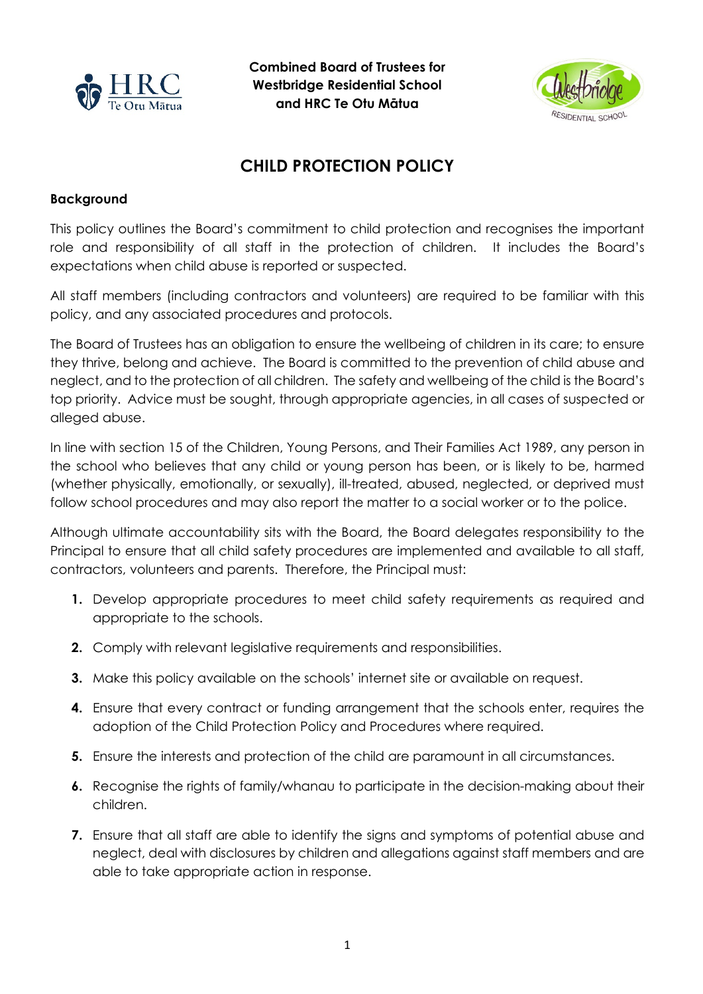

**Combined Board of Trustees for Westbridge Residential School and HRC Te Otu Mātua**



## **CHILD PROTECTION POLICY**

## **Background**

This policy outlines the Board's commitment to child protection and recognises the important role and responsibility of all staff in the protection of children. It includes the Board's expectations when child abuse is reported or suspected.

All staff members (including contractors and volunteers) are required to be familiar with this policy, and any associated procedures and protocols.

The Board of Trustees has an obligation to ensure the wellbeing of children in its care; to ensure they thrive, belong and achieve. The Board is committed to the prevention of child abuse and neglect, and to the protection of all children. The safety and wellbeing of the child is the Board's top priority. Advice must be sought, through appropriate agencies, in all cases of suspected or alleged abuse.

In line with section 15 of the Children, Young Persons, and Their Families Act 1989, any person in the school who believes that any child or young person has been, or is likely to be, harmed (whether physically, emotionally, or sexually), ill-treated, abused, neglected, or deprived must follow school procedures and may also report the matter to a social worker or to the police.

Although ultimate accountability sits with the Board, the Board delegates responsibility to the Principal to ensure that all child safety procedures are implemented and available to all staff, contractors, volunteers and parents. Therefore, the Principal must:

- **1.** Develop appropriate procedures to meet child safety requirements as required and appropriate to the schools.
- **2.** Comply with relevant legislative requirements and responsibilities.
- **3.** Make this policy available on the schools' internet site or available on request.
- **4.** Ensure that every contract or funding arrangement that the schools enter, requires the adoption of the Child Protection Policy and Procedures where required.
- **5.** Ensure the interests and protection of the child are paramount in all circumstances.
- **6.** Recognise the rights of family/whanau to participate in the decision-making about their children.
- **7.** Ensure that all staff are able to identify the signs and symptoms of potential abuse and neglect, deal with disclosures by children and allegations against staff members and are able to take appropriate action in response.